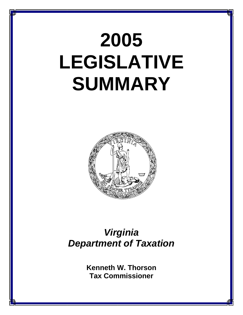# **2005 LEGISLATIVE SUMMARY**



## *Virginia Department of Taxation*

**Kenneth W. Thorson Tax Commissioner**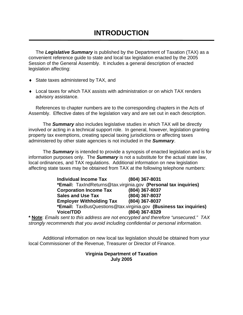The *Legislative Summary* is published by the Department of Taxation (TAX) as a convenient reference guide to state and local tax legislation enacted by the 2005 Session of the General Assembly. It includes a general description of enacted legislation affecting:

- ♦ State taxes administered by TAX, and
- $\bullet$  Local taxes for which TAX assists with administration or on which TAX renders advisory assistance.

References to chapter numbers are to the corresponding chapters in the Acts of Assembly. Effective dates of the legislation vary and are set out in each description.

 The *Summary* also includes legislative studies in which TAX will be directly involved or acting in a technical support role. In general, however, legislation granting property tax exemptions, creating special taxing jurisdictions or affecting taxes administered by other state agencies is not included in the *Summary*.

 The *Summary* is intended to provide a synopsis of enacted legislation and is for information purposes only. The *Summary* is not a substitute for the actual state law, local ordinances, and TAX regulations. Additional information on new legislation affecting state taxes may be obtained from TAX at the following telephone numbers:

> **Individual Income Tax (804) 367-8031 \*Email:** TaxIndReturns@tax.virginia.gov **(Personal tax inquiries) Corporation Income Tax (804) 367-8037 Sales and Use Tax (804) 367-8037 Employer Withholding Tax (804) 367-8037 \*Email:** TaxBusQuestions@tax.virginia.gov **(Business tax inquiries) Voice/TDD (804) 367-8329**

**\* Note**: *Emails sent to this address are not encrypted and therefore "unsecured." TAX strongly recommends that you avoid including confidential or personal information.*

 Additional information on new local tax legislation should be obtained from your local Commissioner of the Revenue, Treasurer or Director of Finance.

## **Virginia Department of Taxation July 2005**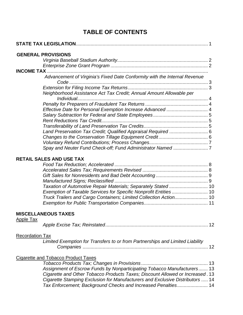## **TABLE OF CONTENTS**

| <b>STATE TAX LEGISLATION</b>                                              |  |
|---------------------------------------------------------------------------|--|
| <b>GENERAL PROVISIONS</b>                                                 |  |
|                                                                           |  |
|                                                                           |  |
| <b>INCOME TAX</b>                                                         |  |
| Advancement of Virginia's Fixed Date Conformity with the Internal Revenue |  |
|                                                                           |  |
| Neighborhood Assistance Act Tax Credit; Annual Amount Allowable per       |  |
|                                                                           |  |
| Effective Date for Personal Exemption Increase Advanced  4                |  |
|                                                                           |  |
|                                                                           |  |
|                                                                           |  |
|                                                                           |  |
|                                                                           |  |
|                                                                           |  |
|                                                                           |  |

## **RETAIL SALES AND USE TAX**

## **MISCELLANEOUS TAXES**  Apple Tax

## Recordation Tax

| Limited Exemption for Transfers to or from Partnerships and Limited Liability |  |
|-------------------------------------------------------------------------------|--|
|                                                                               |  |

## Cigarette and Tobacco Product Taxes

| Assignment of Escrow Funds by Nonparticipating Tobacco Manufacturers 13       |  |
|-------------------------------------------------------------------------------|--|
| Cigarette and Other Tobacco Products Taxes; Discount Allowed or Increased. 13 |  |
| Cigarette Stamping Exclusion for Manufacturers and Exclusive Distributors  14 |  |
| Tax Enforcement; Background Checks and Increased Penalties 14                 |  |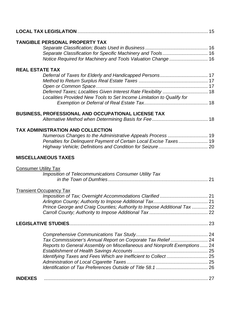|                             | <b>TANGIBLE PERSONAL PROPERTY TAX</b>                                     |  |
|-----------------------------|---------------------------------------------------------------------------|--|
|                             |                                                                           |  |
|                             | Separate Classification for Specific Machinery and Tools 16               |  |
|                             | Notice Required for Machinery and Tools Valuation Change 16               |  |
|                             |                                                                           |  |
| <b>REAL ESTATE TAX</b>      |                                                                           |  |
|                             |                                                                           |  |
|                             |                                                                           |  |
|                             |                                                                           |  |
|                             | Deferred Taxes; Localities Given Interest Rate Flexibility  18            |  |
|                             | Localities Provided New Tools to Set Income Limitation to Qualify for     |  |
|                             |                                                                           |  |
|                             | BUSINESS, PROFESSIONAL AND OCCUPATIONAL LICENSE TAX                       |  |
|                             |                                                                           |  |
|                             |                                                                           |  |
|                             | <b>TAX ADMINISTRATION AND COLLECTION</b>                                  |  |
|                             |                                                                           |  |
|                             | Penalties for Delinquent Payment of Certain Local Excise Taxes 19         |  |
|                             |                                                                           |  |
|                             | <b>MISCELLANEOUS TAXES</b>                                                |  |
| <b>Consumer Utility Tax</b> |                                                                           |  |
|                             | Imposition of Telecommunications Consumer Utility Tax                     |  |
|                             |                                                                           |  |
|                             |                                                                           |  |
|                             | <b>Transient Occupancy Tax</b>                                            |  |
|                             |                                                                           |  |
|                             |                                                                           |  |
|                             | Prince George and Craig Counties; Authority to Impose Additional Tax  22  |  |
|                             |                                                                           |  |
|                             |                                                                           |  |
|                             |                                                                           |  |
|                             |                                                                           |  |
|                             | Tax Commissioner's Annual Report on Corporate Tax Relief  24              |  |
|                             | Reports to General Assembly on Miscellaneous and Nonprofit Exemptions  24 |  |
|                             |                                                                           |  |
|                             | Identifying Taxes and Fees Which are Inefficient to Collect  25           |  |
|                             |                                                                           |  |
|                             |                                                                           |  |
|                             |                                                                           |  |
| <b>INDEXES</b>              |                                                                           |  |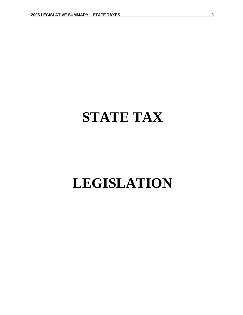## **STATE TAX**

## **LEGISLATION**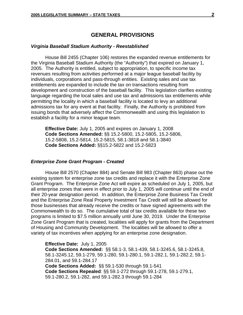## **GENERAL PROVISIONS**

#### *Virginia Baseball Stadium Authority - Reestablished*

 House Bill 2455 (Chapter 106) restores the expanded revenue entitlements for the Virginia Baseball Stadium Authority (the "Authority") that expired on January 1, 2005. The Authority is entitled, subject to appropriation, to specific income tax revenues resulting from activities performed at a major league baseball facility by individuals, corporations and pass-through entities. Existing sales and use tax entitlements are expanded to include the tax on transactions resulting from development and construction of the baseball facility. This legislation clarifies existing language regarding the local sales and use tax and admissions tax entitlements while permitting the locality in which a baseball facility is located to levy an additional admissions tax for any event at that facility. Finally, the Authority is prohibited from issuing bonds that adversely affect the Commonwealth and using this legislation to establish a facility for a minor league team.

**Effective Date:** July 1, 2005 and expires on January 1, 2008 **Code Sections Amended:** §§ 15.2-5800, 15.2-5805, 15.2-5806, 15.2-5808, 15.2-5814, 15.2-5815, 58.1-3818 and 58.1-3840 **Code Sections Added:** §§15.2-5822 and 15.2-5823

#### *Enterprise Zone Grant Program - Created*

House Bill 2570 (Chapter 884) and Senate Bill 983 (Chapter 863) phase out the existing system for enterprise zone tax credits and replace it with the Enterprise Zone Grant Program. The Enterprise Zone Act will expire as scheduled on July 1, 2005, but all enterprise zones that were in effect prior to July 1, 2005 will continue until the end of their 20-year designation period. In addition, the Enterprise Zone Business Tax Credit and the Enterprise Zone Real Property Investment Tax Credit will still be allowed for those businesses that already receive the credits or have signed agreements with the Commonwealth to do so. The cumulative total of tax credits available for these two programs is limited to \$7.5 million annually until June 30, 2019. Under the Enterprise Zone Grant Program that is created, localities will apply for grants from the Department of Housing and Community Development. The localities will be allowed to offer a variety of tax incentives when applying for an enterprise zone designation.

 **Effective Date:** July 1, 2005 **Code Sections Amended:** §§ [58.1-3,](http://leg1.state.va.us/cgi-bin/legp504.exe?000+cod+58.1-3) [58.1-439,](http://leg1.state.va.us/cgi-bin/legp504.exe?000+cod+58.1-439) [58.1-3245.6](http://leg1.state.va.us/cgi-bin/legp504.exe?000+cod+58.1-3245.6), [58.1-3245.8](http://leg1.state.va.us/cgi-bin/legp504.exe?000+cod+58.1-3245.8), [58.1-3245.12,](http://leg1.state.va.us/cgi-bin/legp504.exe?000+cod+58.1-3245.12) [59.1-279,](http://leg1.state.va.us/cgi-bin/legp504.exe?000+cod+59.1-279) [59.1-280,](http://leg1.state.va.us/cgi-bin/legp504.exe?000+cod+59.1-280) [59.1-280.1,](http://leg1.state.va.us/cgi-bin/legp504.exe?000+cod+59.1-280.1) [59.1-282.1,](http://leg1.state.va.us/cgi-bin/legp504.exe?000+cod+59.1-282.1) [59.1-282.2,](http://leg1.state.va.us/cgi-bin/legp504.exe?000+cod+59.1-282.2) [59.1-](http://leg1.state.va.us/cgi-bin/legp504.exe?000+cod+59.1-284.01) [284.01,](http://leg1.state.va.us/cgi-bin/legp504.exe?000+cod+59.1-284.01) and [59.1-284.17](http://leg1.state.va.us/cgi-bin/legp504.exe?000+cod+59.1-284.17) **Code Sections Added:** §§ [59.1-530](http://leg1.state.va.us/cgi-bin/legp504.exe?000+cod+59.1-530) through [59.1-541](http://leg1.state.va.us/cgi-bin/legp504.exe?000+cod+59.1-541) **Code Sections Repealed**: §§ [59.1-272](http://leg1.state.va.us/cgi-bin/legp504.exe?000+cod+59.1-272) through [59.1-278](http://leg1.state.va.us/cgi-bin/legp504.exe?000+cod+59.1-278), [59.1-279.1,](http://leg1.state.va.us/cgi-bin/legp504.exe?000+cod+59.1-279.1) [59.1-280.2](http://leg1.state.va.us/cgi-bin/legp504.exe?000+cod+59.1-280.2), [59.1-282](http://leg1.state.va.us/cgi-bin/legp504.exe?000+cod+59.1-282), and [59.1-282.3](http://leg1.state.va.us/cgi-bin/legp504.exe?000+cod+59.1-282.3) through [59.1-284](http://leg1.state.va.us/cgi-bin/legp504.exe?000+cod+59.1-284)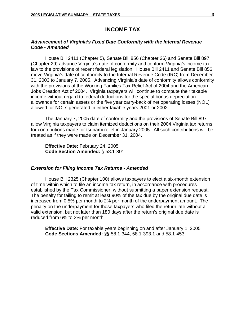## **INCOME TAX**

### *Advancement of Virginia's Fixed Date Conformity with the Internal Revenue Code - Amended*

House Bill 2411 (Chapter 5), Senate Bill 856 (Chapter 26) and Senate Bill 897 (Chapter 29) advance Virginia's date of conformity and conform Virginia's income tax law to the provisions of recent federal legislation. House Bill 2411 and Senate Bill 856 move Virginia's date of conformity to the Internal Revenue Code (IRC) from December 31, 2003 to January 7, 2005. Advancing Virginia's date of conformity allows conformity with the provisions of the Working Families Tax Relief Act of 2004 and the American Jobs Creation Act of 2004. Virginia taxpayers will continue to compute their taxable income without regard to federal deductions for the special bonus depreciation allowance for certain assets or the five year carry-back of net operating losses (NOL) allowed for NOLs generated in either taxable years 2001 or 2002.

The January 7, 2005 date of conformity and the provisions of Senate Bill 897 allow Virginia taxpayers to claim itemized deductions on their 2004 Virginia tax returns for contributions made for tsunami relief in January 2005. All such contributions will be treated as if they were made on December 31, 2004.

**Effective Date:** February 24, 2005 **Code Section Amended:** § 58.1-301

#### *Extension for Filing Income Tax Returns - Amended*

House Bill 2325 (Chapter 100) allows taxpayers to elect a six-month extension of time within which to file an income tax return, in accordance with procedures established by the Tax Commissioner, without submitting a paper extension request. The penalty for failing to remit at least 90% of the tax due by the original due date is increased from 0.5% per month to 2% per month of the underpayment amount. The penalty on the underpayment for those taxpayers who filed the return late without a valid extension, but not later than 180 days after the return's original due date is reduced from 6% to 2% per month.

**Effective Date:** For taxable years beginning on and after January 1, 2005 **Code Sections Amended:** §§ 58.1-344, 58.1-393.1 and 58.1-453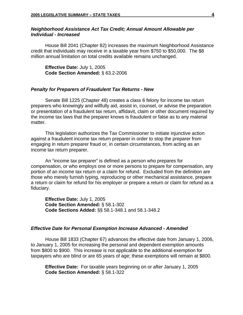## *Neighborhood Assistance Act Tax Credit; Annual Amount Allowable per Individual - Increased*

House Bill 2041 (Chapter 82) increases the maximum Neighborhood Assistance credit that individuals may receive in a taxable year from \$750 to \$50,000. The \$8 million annual limitation on total credits available remains unchanged.

**Effective Date:** July 1, 2005 **Code Section Amended:** § 63.2-2006

#### *Penalty for Preparers of Fraudulent Tax Returns* **-** *New*

 Senate Bill 1225 (Chapter 48) creates a class 6 felony for income tax return preparers who knowingly and willfully aid, assist in, counsel, or advise the preparation or presentation of a fraudulent tax return, affidavit, claim or other document required by the income tax laws that the preparer knows is fraudulent or false as to any material matter.

 This legislation authorizes the Tax Commissioner to initiate injunctive action against a fraudulent income tax return preparer in order to stop the preparer from engaging in return preparer fraud or, in certain circumstances, from acting as an income tax return preparer.

 An "income tax preparer" is defined as a person who prepares for compensation, or who employs one or more persons to prepare for compensation, any portion of an income tax return or a claim for refund. Excluded from the definition are those who merely furnish typing, reproducing or other mechanical assistance, prepare a return or claim for refund for his employer or prepare a return or claim for refund as a fiduciary.

**Effective Date:** July 1, 2005 **Code Section Amended:** § 58.1-302 **Code Sections Added:** §§ 58.1-348.1 and 58.1-348.2

#### *Effective Date for Personal Exemption Increase Advanced - Amended*

House Bill 1833 (Chapter 67) advances the effective date from January 1, 2006, to January 1, 2005 for increasing the personal and dependent exemption amounts from \$800 to \$900. This increase is not applicable to the additional exemption for taxpayers who are blind or are 65 years of age; these exemptions will remain at \$800.

**Effective Date:** For taxable years beginning on or after January 1, 2005 **Code Section Amended:** § 58.1-322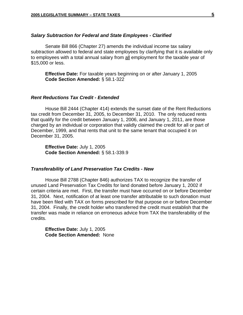#### *Salary Subtraction for Federal and State Employees - Clarified*

Senate Bill 866 (Chapter 27) amends the individual income tax salary subtraction allowed to federal and state employees by clarifying that it is available only to employees with a total annual salary from all employment for the taxable year of \$15,000 or less.

**Effective Date:** For taxable years beginning on or after January 1, 2005 **Code Section Amended:** § 58.1-322

### *Rent Reductions Tax Credit - Extended*

 House Bill 2444 (Chapter 414) extends the sunset date of the Rent Reductions tax credit from December 31, 2005, to December 31, 2010. The only reduced rents that qualify for the credit between January 1, 2006, and January 1, 2011, are those charged by an individual or corporation that validly claimed the credit for all or part of December, 1999, and that rents that unit to the same tenant that occupied it on December 31, 2005.

**Effective Date:** July 1, 2005 **Code Section Amended:** § 58.1-339.9

#### *Transferability of Land Preservation Tax Credits - New*

House Bill 2788 (Chapter 846) authorizes TAX to recognize the transfer of unused Land Preservation Tax Credits for land donated before January 1, 2002 if certain criteria are met. First, the transfer must have occurred on or before December 31, 2004. Next, notification of at least one transfer attributable to such donation must have been filed with TAX on forms prescribed for that purpose on or before December 31, 2004. Finally, the credit holder who transferred the credit must establish that the transfer was made in reliance on erroneous advice from TAX the transferability of the credits.

**Effective Date:** July 1, 2005 **Code Section Amended:** None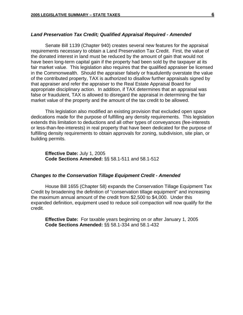#### *Land Preservation Tax Credit; Qualified Appraisal Required - Amended*

Senate Bill 1139 (Chapter 940) creates several new features for the appraisal requirements necessary to obtain a Land Preservation Tax Credit. First, the value of the donated interest in land must be reduced by the amount of gain that would not have been long-term capital gain if the property had been sold by the taxpayer at its fair market value. This legislation also requires that the qualified appraiser be licensed in the Commonwealth. Should the appraiser falsely or fraudulently overstate the value of the contributed property, TAX is authorized to disallow further appraisals signed by that appraiser and refer the appraiser to the Real Estate Appraisal Board for appropriate disciplinary action. In addition, if TAX determines that an appraisal was false or fraudulent, TAX is allowed to disregard the appraisal in determining the fair market value of the property and the amount of the tax credit to be allowed.

This legislation also modified an existing provision that excluded open space dedications made for the purpose of fulfilling any density requirements. This legislation extends this limitation to deductions and all other types of conveyances (fee-interests or less-than-fee-interests) in real property that have been dedicated for the purpose of fulfilling density requirements to obtain approvals for zoning, subdivision, site plan, or building permits.

**Effective Date:** July 1, 2005 **Code Sections Amended:** §§ 58.1-511 and 58.1-512

#### *Changes to the Conservation Tillage Equipment Credit - Amended*

House Bill 1655 (Chapter 58) expands the Conservation Tillage Equipment Tax Credit by broadening the definition of "conservation tillage equipment" and increasing the maximum annual amount of the credit from \$2,500 to \$4,000. Under this expanded definition, equipment used to reduce soil compaction will now qualify for the credit.

**Effective Date:** For taxable years beginning on or after January 1, 2005 **Code Sections Amended:** §§ 58.1-334 and 58.1-432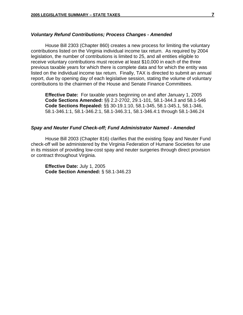## *Voluntary Refund Contributions; Process Changes - Amended*

House Bill 2303 (Chapter 860) creates a new process for limiting the voluntary contributions listed on the Virginia individual income tax return. As required by 2004 legislation, the number of contributions is limited to 25, and all entities eligible to receive voluntary contributions must receive at least \$10,000 in each of the three previous taxable years for which there is complete data and for which the entity was listed on the individual income tax return. Finally, TAX is directed to submit an annual report, due by opening day of each legislative session, stating the volume of voluntary contributions to the chairmen of the House and Senate Finance Committees.

**Effective Date:** For taxable years beginning on and after January 1, 2005 **Code Sections Amended:** §§ 2.2-2702, 29.1-101, 58.1-344.3 and 58.1-546 **Code Sections Repealed:** §§ 30-19.1:10, 58.1-345, 58.1-345.1, 58.1-346, 58.1-346.1:1, 58.1-346.2:1, 58.1-346.3:1, 58.1-346.4:1 through 58.1-346.24

### *Spay and Neuter Fund Check-off; Fund Administrator Named - Amended*

House Bill 2003 (Chapter 816) clarifies that the existing Spay and Neuter Fund check-off will be administered by the Virginia Federation of Humane Societies for use in its mission of providing low-cost spay and neuter surgeries through direct provision or contract throughout Virginia.

**Effective Date:** July 1, 2005 **Code Section Amended:** § 58.1-346.23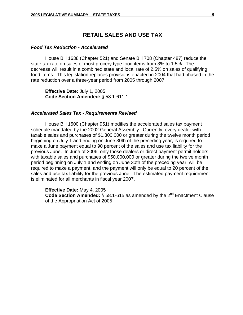## **RETAIL SALES AND USE TAX**

### *Food Tax Reduction - Accelerated*

House Bill 1638 (Chapter 521) and Senate Bill 708 (Chapter 487) reduce the state tax rate on sales of most grocery type food items from 3% to 1.5%. The decrease will result in a combined state and local rate of 2.5% on sales of qualifying food items. This legislation replaces provisions enacted in 2004 that had phased in the rate reduction over a three-year period from 2005 through 2007.

**Effective Date:** July 1, 2005 **Code Section Amended:** § 58.1-611.1

#### *Accelerated Sales Tax - Requirements Revised*

House Bill 1500 (Chapter 951) modifies the accelerated sales tax payment schedule mandated by the 2002 General Assembly. Currently, every dealer with taxable sales and purchases of \$1,300,000 or greater during the twelve month period beginning on July 1 and ending on June 30th of the preceding year, is required to make a June payment equal to 90 percent of the sales and use tax liability for the previous June. In June of 2006, only those dealers or direct payment permit holders with taxable sales and purchases of \$50,000,000 or greater during the twelve month period beginning on July 1 and ending on June 30th of the preceding year, will be required to make a payment, and the payment will only be equal to 20 percent of the sales and use tax liability for the previous June. The estimated payment requirement is eliminated for all merchants in fiscal year 2007.

**Effective Date:** May 4, 2005

**Code Section Amended:** § 58.1-615 as amended by the 2<sup>nd</sup> Enactment Clause of the Appropriation Act of 2005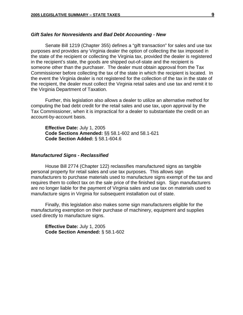#### *Gift Sales for Nonresidents and Bad Debt Accounting - New*

Senate Bill 1219 (Chapter 355) defines a "gift transaction" for sales and use tax purposes and provides any Virginia dealer the option of collecting the tax imposed in the state of the recipient or collecting the Virginia tax, provided the dealer is registered in the recipient's state, the goods are shipped out-of-state and the recipient is someone other than the purchaser. The dealer must obtain approval from the Tax Commissioner before collecting the tax of the state in which the recipient is located. In the event the Virginia dealer is not registered for the collection of the tax in the state of the recipient, the dealer must collect the Virginia retail sales and use tax and remit it to the Virginia Department of Taxation.

Further, this legislation also allows a dealer to utilize an alternative method for computing the bad debt credit for the retail sales and use tax, upon approval by the Tax Commissioner, when it is impractical for a dealer to substantiate the credit on an account-by-account basis.

**Effective Date:** July 1, 2005 **Code Sections Amended:** §§ 58.1-602 and 58.1-621 **Code Section Added:** § 58.1-604.6

#### *Manufactured Signs - Reclassified*

House Bill 2774 (Chapter 122) reclassifies manufactured signs as tangible personal property for retail sales and use tax purposes. This allows sign manufacturers to purchase materials used to manufacture signs exempt of the tax and requires them to collect tax on the sale price of the finished sign. Sign manufacturers are no longer liable for the payment of Virginia sales and use tax on materials used to manufacture signs in Virginia for subsequent installation out of state.

 Finally, this legislation also makes some sign manufacturers eligible for the manufacturing exemption on their purchase of machinery, equipment and supplies used directly to manufacture signs.

**Effective Date:** July 1, 2005 **Code Section Amended:** § 58.1-602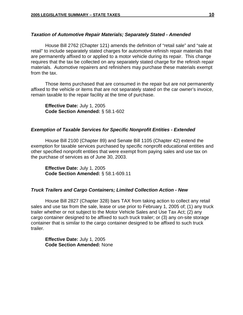## *Taxation of Automotive Repair Materials; Separately Stated - Amended*

House Bill 2762 (Chapter 121) amends the definition of "retail sale" and "sale at retail" to include separately stated charges for automotive refinish repair materials that are permanently affixed to or applied to a motor vehicle during its repair. This change requires that the tax be collected on any separately stated charge for the refinish repair materials. Automotive repairers and refinishers may purchase these materials exempt from the tax.

 Those items purchased that are consumed in the repair but are not permanently affixed to the vehicle or items that are not separately stated on the car owner's invoice, remain taxable to the repair facility at the time of purchase.

**Effective Date:** July 1, 2005 **Code Section Amended:** § 58.1-602

#### *Exemption of Taxable Services for Specific Nonprofit Entities - Extended*

House Bill 2100 (Chapter 89) and Senate Bill 1105 (Chapter 42) extend the exemption for taxable services purchased by specific nonprofit educational entities and other specified nonprofit entities that were exempt from paying sales and use tax on the purchase of services as of June 30, 2003.

**Effective Date:** July 1, 2005 **Code Section Amended:** § 58.1-609.11

#### *Truck Trailers and Cargo Containers; Limited Collection Action - New*

House Bill 2827 (Chapter 328) bars TAX from taking action to collect any retail sales and use tax from the sale, lease or use prior to February 1, 2005 of; (1) any truck trailer whether or not subject to the Motor Vehicle Sales and Use Tax Act; (2) any cargo container designed to be affixed to such truck trailer; or (3) any on-site storage container that is similar to the cargo container designed to be affixed to such truck trailer.

**Effective Date:** July 1, 2005 **Code Section Amended:** None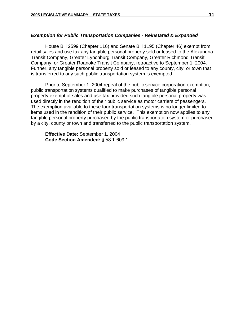## *Exemption for Public Transportation Companies - Reinstated & Expanded*

 House Bill 2599 (Chapter 116) and Senate Bill 1195 (Chapter 46) exempt from retail sales and use tax any tangible personal property sold or leased to the Alexandria Transit Company, Greater Lynchburg Transit Company, Greater Richmond Transit Company, or Greater Roanoke Transit Company, retroactive to September 1, 2004. Further, any tangible personal property sold or leased to any county, city, or town that is transferred to any such public transportation system is exempted.

 Prior to September 1, 2004 repeal of the public service corporation exemption, public transportation systems qualified to make purchases of tangible personal property exempt of sales and use tax provided such tangible personal property was used directly in the rendition of their public service as motor carriers of passengers. The exemption available to these four transportation systems is no longer limited to items used in the rendition of their public service. This exemption now applies to any tangible personal property purchased by the public transportation system or purchased by a city, county or town and transferred to the public transportation system.

**Effective Date:** September 1, 2004 **Code Section Amended:** § 58.1-609.1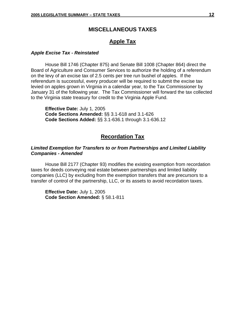## **MISCELLANEOUS TAXES**

## **Apple Tax**

### *Apple Excise Tax - Reinstated*

House Bill 1746 (Chapter 875) and Senate Bill 1008 (Chapter 864) direct the Board of Agriculture and Consumer Services to authorize the holding of a referendum on the levy of an excise tax of 2.5 cents per tree run bushel of apples. If the referendum is successful, every producer will be required to submit the excise tax levied on apples grown in Virginia in a calendar year, to the Tax Commissioner by January 31 of the following year. The Tax Commissioner will forward the tax collected to the Virginia state treasury for credit to the Virginia Apple Fund.

**Effective Date:** July 1, 2005 **Code Sections Amended:** §§ 3.1-618 and 3.1-626 **Code Sections Added:** §§ 3.1-636.1 through 3.1-636.12

## **Recordation Tax**

## *Limited Exemption for Transfers to or from Partnerships and Limited Liability Companies - Amended*

House Bill 2177 (Chapter 93) modifies the existing exemption from recordation taxes for deeds conveying real estate between partnerships and limited liability companies (LLC) by excluding from the exemption transfers that are precursors to a transfer of control of the partnership, LLC, or its assets to avoid recordation taxes.

**Effective Date:** July 1, 2005 **Code Section Amended:** § 58.1-811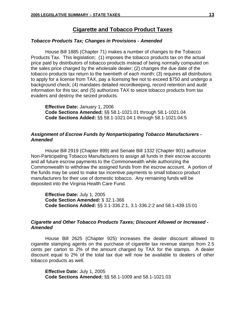## **Cigarette and Tobacco Product Taxes**

## *Tobacco Products Tax; Changes in Provisions - Amended*

House Bill 1885 (Chapter 71) makes a number of changes to the Tobacco Products Tax. This legislation; (1) imposes the tobacco products tax on the actual price paid by distributors of tobacco products instead of being normally computed on the sales price charged by the wholesale dealer; (2) changes the due date of the tobacco products tax return to the twentieth of each month; (3) requires all distributors to apply for a license from TAX, pay a licensing fee not to exceed \$750 and undergo a background check; (4) mandates detailed recordkeeping, record retention and audit information for this tax; and (5) authorizes TAX to seize tobacco products from tax evaders and destroy the seized products.

**Effective Date:** January 1, 2006 **Code Sections Amended:** §§ 58.1-1021.01 through 58.1-1021.04 **Code Sections Added:** §§ 58.1-1021.04:1 through 58.1-1021.04:5

## *Assignment of Escrow Funds by Nonparticipating Tobacco Manufacturers - Amended*

 House Bill 2919 (Chapter 899) and Senate Bill 1332 (Chapter 901) authorize Non-Participating Tobacco Manufacturers to assign all funds in their escrow accounts and all future escrow payments to the Commonwealth while authorizing the Commonwealth to withdraw the assigned funds from the escrow account. A portion of the funds may be used to make tax incentive payments to small tobacco product manufacturers for their use of domestic tobacco. Any remaining funds will be deposited into the Virginia Health Care Fund.

**Effective Date:** July 1, 2005 **Code Section Amended:** § 32.1-366 **Code Sections Added:** §§ 3.1-336.2:1, 3.1-336.2:2 and 58.1-439.15:01

## *Cigarette and Other Tobacco Products Taxes; Discount Allowed or Increased - Amended*

House Bill 2625 (Chapter 925) increases the dealer discount allowed to cigarette stamping agents on the purchase of cigarette tax revenue stamps from 2.5 cents per carton to 2% of the amount charged by TAX for the stamps. A dealer discount equal to 2% of the total tax due will now be available to dealers of other tobacco products as well.

**Effective Date:** July 1, 2005 **Code Sections Amended:** §§ 58.1-1009 and 58.1-1021.03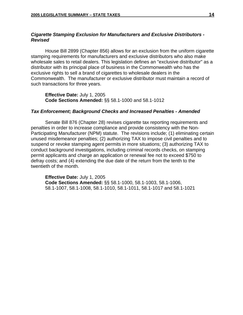## *Cigarette Stamping Exclusion for Manufacturers and Exclusive Distributors - Revised*

House Bill 2899 (Chapter 856) allows for an exclusion from the uniform cigarette stamping requirements for manufacturers and exclusive distributors who also make wholesale sales to retail dealers. This legislation defines an "exclusive distributor" as a distributor with its principal place of business in the Commonwealth who has the exclusive rights to sell a brand of cigarettes to wholesale dealers in the Commonwealth. The manufacturer or exclusive distributor must maintain a record of such transactions for three years.

**Effective Date:** July 1, 2005 **Code Sections Amended:** §§ 58.1-1000 and 58.1-1012

## *Tax Enforcement; Background Checks and Increased Penalties - Amended*

Senate Bill 876 (Chapter 28) revises cigarette tax reporting requirements and penalties in order to increase compliance and provide consistency with the Non-Participating Manufacturer (NPM) statute. The revisions include; (1) eliminating certain unused misdemeanor penalties; (2) authorizing TAX to impose civil penalties and to suspend or revoke stamping agent permits in more situations; (3) authorizing TAX to conduct background investigations, including criminal records checks, on stamping permit applicants and charge an application or renewal fee not to exceed \$750 to defray costs; and (4) extending the due date of the return from the tenth to the twentieth of the month.

**Effective Date:** July 1, 2005 **Code Sections Amended:** §§ 58.1-1000, 58.1-1003, 58.1-1006, 58.1-1007, 58.1-1008, 58.1-1010, 58.1-1011, 58.1-1017 and 58.1-1021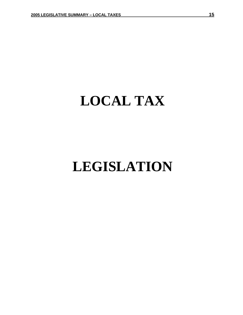## **LOCAL TAX**

## **LEGISLATION**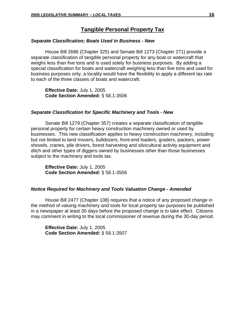## **Tangible Personal Property Tax**

## *Separate Classification; Boats Used in Business - New*

House Bill 2686 (Chapter 325) and Senate Bill 1273 (Chapter 271) provide a separate classification of tangible personal property for any boat or watercraft that weighs less than five tons and is used solely for business purposes. By adding a special classification for boats and watercraft weighing less than five tons and used for business purposes only, a locality would have the flexibility to apply a different tax rate to each of the three classes of boats and watercraft.

**Effective Date:** July 1, 2005 **Code Section Amended:** § 58.1-3506

#### *Separate Classification for Specific Machinery and Tools - New*

Senate Bill 1279 (Chapter 357) creates a separate classification of tangible personal property for certain heavy construction machinery owned or used by businesses. This new classification applies to heavy construction machinery, including but not limited to land movers, bulldozers, front-end loaders, graders, packers, power shovels, cranes, pile drivers, forest harvesting and silvicultural activity equipment and ditch and other types of diggers owned by businesses other than those businesses subject to the machinery and tools tax.

**Effective Date:** July 1, 2005 **Code Section Amended:** § 58.1-3506

#### *Notice Required for Machinery and Tools Valuation Change - Amended*

House Bill 2477 (Chapter 108) requires that a notice of any proposed change in the method of valuing machinery and tools for local property tax purposes be published in a newspaper at least 30 days before the proposed change is to take effect. Citizens may comment in writing to the local commissioner of revenue during the 30-day period.

**Effective Date:** July 1, 2005 **Code Section Amended:** § 58.1-3507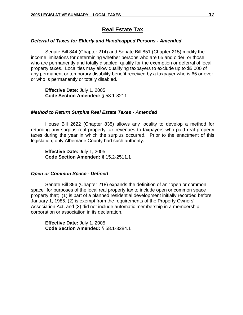## **Real Estate Tax**

## *Deferral of Taxes for Elderly and Handicapped Persons - Amended*

Senate Bill 844 (Chapter 214) and Senate Bill 851 (Chapter 215) modify the income limitations for determining whether persons who are 65 and older, or those who are permanently and totally disabled, qualify for the exemption or deferral of local property taxes. Localities may allow qualifying taxpayers to exclude up to \$5,000 of any permanent or temporary disability benefit received by a taxpayer who is 65 or over or who is permanently or totally disabled.

**Effective Date:** July 1, 2005 **Code Section Amended:** § 58.1-3211

#### *Method to Return Surplus Real Estate Taxes - Amended*

House Bill 2622 (Chapter 835) allows any locality to develop a method for returning any surplus real property tax revenues to taxpayers who paid real property taxes during the year in which the surplus occurred. Prior to the enactment of this legislation, only Albemarle County had such authority.

**Effective Date:** July 1, 2005 **Code Section Amended:** § 15.2-2511.1

#### *Open or Common Space - Defined*

Senate Bill 896 (Chapter 218) expands the definition of an "open or common space" for purposes of the local real property tax to include open or common space property that; (1) is part of a planned residential development initially recorded before January 1, 1985, (2) is exempt from the requirements of the Property Owners' Association Act, and (3) did not include automatic membership in a membership corporation or association in its declaration.

**Effective Date:** July 1, 2005 **Code Section Amended:** § 58.1-3284.1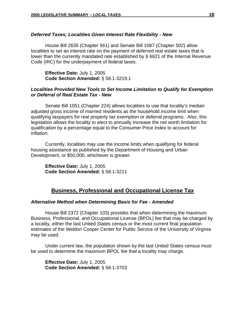## *Deferred Taxes; Localities Given Interest Rate Flexibility - New*

 House Bill 2635 (Chapter 561) and Senate Bill 1087 (Chapter 502) allow localities to set an interest rate on the payment of deferred real estate taxes that is lower than the currently mandated rate established by § 6621 of the Internal Revenue Code (IRC) for the underpayment of federal taxes.

**Effective Date:** July 1, 2005 **Code Section Amended:** § 58.1-3219.1

## *Localities Provided New Tools to Set Income Limitation to Qualify for Exemption or Deferral of Real Estate Tax - New*

 Senate Bill 1051 (Chapter 224) allows localities to use that locality's median adjusted gross income of married residents as the household income limit when qualifying taxpayers for real property tax exemption or deferral programs. Also, this legislation allows the locality to elect to annually increase the net worth limitation for qualification by a percentage equal to the Consumer Price Index to account for inflation.

 Currently, localities may use the income limits when qualifying for federal housing assistance as published by the Department of Housing and Urban Development, or \$50,000, whichever is greater.

**Effective Date:** July 1, 2005 **Code Section Amended:** § 58.1-3211

## **Business, Professional and Occupational License Tax**

#### *Alternative Method when Determining Basis for Fee - Amended*

House Bill 2372 (Chapter 103) provides that when determining the maximum Business, Professional, and Occupational License (BPOL) fee that may be charged by a locality, either the last United States census or the most current final population estimates of the Weldon Cooper Center for Public Service of the University of Virginia may be used.

Under current law, the population shown by the last United States census must be used to determine the maximum BPOL fee that a locality may charge.

**Effective Date:** July 1, 2005 **Code Section Amended:** § 58.1-3703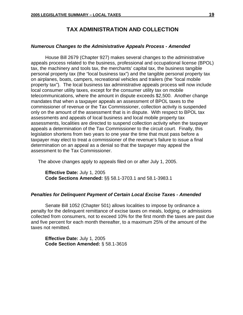## **TAX ADMINISTRATION AND COLLECTION**

## *Numerous Changes to the Administrative Appeals Process - Amended*

House Bill 2679 (Chapter 927) makes several changes to the administrative appeals process related to the business, professional and occupational license (BPOL) tax, the machinery and tools tax, the merchants' capital tax, the business tangible personal property tax (the "local business tax") and the tangible personal property tax on airplanes, boats, campers, recreational vehicles and trailers (the "local mobile property tax"). The local business tax administrative appeals process will now include local consumer utility taxes, except for the consumer utility tax on mobile telecommunications, where the amount in dispute exceeds \$2,500. Another change mandates that when a taxpayer appeals an assessment of BPOL taxes to the commissioner of revenue or the Tax Commissioner, collection activity is suspended only on the amount of the assessment that is in dispute. With respect to BPOL tax assessments and appeals of local business and local mobile property tax assessments, localities are directed to suspend collection activity when the taxpayer appeals a determination of the Tax Commissioner to the circuit court. Finally, this legislation shortens from two years to one year the time that must pass before a taxpayer may elect to treat a commissioner of the revenue's failure to issue a final determination on an appeal as a denial so that the taxpayer may appeal the assessment to the Tax Commissioner.

The above changes apply to appeals filed on or after July 1, 2005.

**Effective Date:** July 1, 2005 **Code Sections Amended:** §§ 58.1-3703.1 and 58.1-3983.1

## *Penalties for Delinquent Payment of Certain Local Excise Taxes - Amended*

Senate Bill 1052 (Chapter 501) allows localities to impose by ordinance a penalty for the delinquent remittance of excise taxes on meals, lodging, or admissions collected from consumers, not to exceed 10% for the first month the taxes are past due and five percent for each month thereafter, to a maximum 25% of the amount of the taxes not remitted.

**Effective Date:** July 1, 2005 **Code Section Amended:** § 58.1-3616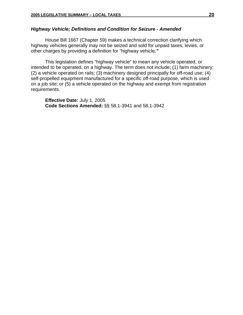## *Highway Vehicle; Definitions and Condition for Seizure - Amended*

House Bill 1667 (Chapter 59) makes a technical correction clarifying which highway vehicles generally may not be seized and sold for unpaid taxes, levies, or other charges by providing a definition for "highway vehicle*."* 

 This legislation defines "highway vehicle" to mean any vehicle operated, or intended to be operated, on a highway. The term does not include; (1) farm machinery; (2) a vehicle operated on rails; (3) machinery designed principally for off-road use; (4) self-propelled equipment manufactured for a specific off-road purpose, which is used on a job site; or (5) a vehicle operated on the highway and exempt from registration requirements.

**Effective Date:** July 1, 2005 **Code Sections Amended:** §§ 58.1-3941 and 58.1-3942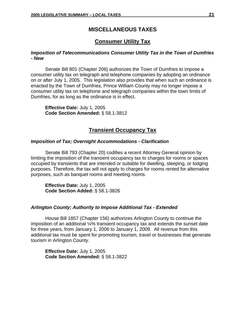## **MISCELLANEOUS TAXES**

## **Consumer Utility Tax**

## *Imposition of Telecommunications Consumer Utility Tax in the Town of Dumfries - New*

Senate Bill 801 (Chapter 206) authorizes the Town of Dumfries to impose a consumer utility tax on telegraph and telephone companies by adopting an ordinance on or after July 1, 2005. This legislation also provides that when such an ordinance is enacted by the Town of Dumfries, Prince William County may no longer impose a consumer utility tax on telephone and telegraph companies within the town limits of Dumfries, for as long as the ordinance is in effect.

**Effective Date:** July 1, 2005 **Code Section Amended:** § 58.1-3812

## **Transient Occupancy Tax**

### *Imposition of Tax; Overnight Accommodations - Clarification*

 Senate Bill 793 (Chapter 20) codifies a recent Attorney General opinion by limiting the imposition of the transient occupancy tax to charges for rooms or spaces occupied by transients that are intended or suitable for dwelling, sleeping, or lodging purposes. Therefore, the tax will not apply to charges for rooms rented for alternative purposes, such as banquet rooms and meeting rooms.

**Effective Date:** July 1, 2005 **Code Section Added:** § 58.1-3826

## *Arlington County; Authority to Impose Additional Tax - Extended*

House Bill 1857 (Chapter 156) authorizes Arlington County to continue the imposition of an additional ¼% transient occupancy tax and extends the sunset date for three years, from January 1, 2006 to January 1, 2009. All revenue from this additional tax must be spent for promoting tourism, travel or businesses that generate tourism in Arlington County.

**Effective Date:** July 1, 2005 **Code Section Amended:** § 58.1-3822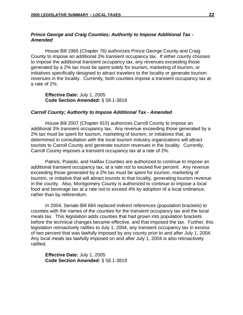## *Prince George and Craig Counties; Authority to Impose Additional Tax - Amended*

House Bill 1965 (Chapter 76) authorizes Prince George County and Craig County to impose an additional 3% transient occupancy tax. If either county chooses to impose the additional transient occupancy tax, any revenues exceeding those generated by a 2% tax must be spent solely for tourism, marketing of tourism, or initiatives specifically designed to attract travelers to the locality or generate tourism revenues in the locality. Currently, both counties impose a transient occupancy tax at a rate of 2%.

**Effective Date:** July 1, 2005 **Code Section Amended:** § 58.1-3819

#### *Carroll County; Authority to Impose Additional Tax - Amended*

House Bill 2007 (Chapter 915) authorizes Carroll County to impose an additional 3% transient occupancy tax. Any revenue exceeding those generated by a 2% tax must be spent for tourism, marketing of tourism, or initiatives that, as determined in consultation with the local tourism industry organizations will attract tourists to Carroll County and generate tourism revenues in the locality. Currently, Carroll County imposes a transient occupancy tax at a rate of 2%.

 Patrick, Pulaski, and Halifax Counties are authorized to continue to impose an additional transient occupancy tax, at a rate not to exceed five percent. Any revenue exceeding those generated by a 2% tax must be spent for tourism, marketing of tourism, or initiative that will attract tourists to that locality, generating tourism revenue in the county. Also, Montgomery County is authorized to continue to impose a local food and beverage tax at a rate not to exceed 4% by adoption of a local ordinance, rather than by referendum.

 In 2004, Senate Bill 684 replaced indirect references (population brackets) to counties with the names of the counties for the transient occupancy tax and the local meals tax. This legislation adds counties that had grown into population brackets before the technical changes became effective, and that imposed the tax. Further, this legislation retroactively ratifies to July 1, 2004, any transient occupancy tax in excess of two percent that was lawfully imposed by any county prior to and after July 1, 2004. Any local meals tax lawfully imposed on and after July 1, 2004 is also retroactively ratified.

**Effective Date:** July 1, 2005 **Code Section Amended:** § 58.1-3819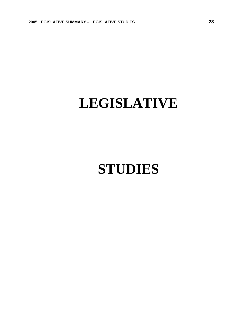## **LEGISLATIVE**

## **STUDIES**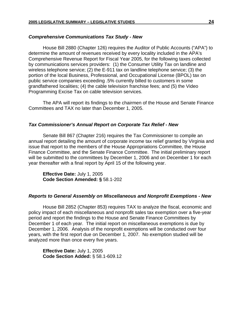### *Comprehensive Communications Tax Study - New*

House Bill 2880 (Chapter 126) requires the Auditor of Public Accounts ("APA") to determine the amount of revenues received by every locality included in the APA's Comprehensive Revenue Report for Fiscal Year 2005, for the following taxes collected by communications services providers: (1) the Consumer Utility Tax on landline and wireless telephone service; (2) the E-911 tax on landline telephone service; (3) the portion of the local Business, Professional, and Occupational License (BPOL) tax on public service companies exceeding .5% currently billed to customers in some grandfathered localities; (4) the cable television franchise fees; and (5) the Video Programming Excise Tax on cable television services.

The APA will report its findings to the chairmen of the House and Senate Finance Committees and TAX no later than December 1, 2005.

#### *Tax Commissioner's Annual Report on Corporate Tax Relief - New*

Senate Bill 867 (Chapter 216) requires the Tax Commissioner to compile an annual report detailing the amount of corporate income tax relief granted by Virginia and issue that report to the members of the House Appropriations Committee, the House Finance Committee, and the Senate Finance Committee. The initial preliminary report will be submitted to the committees by December 1, 2006 and on December 1 for each year thereafter with a final report by April 15 of the following year.

**Effective Date:** July 1, 2005 **Code Section Amended: §** 58.1-202

## *Reports to General Assembly on Miscellaneous and Nonprofit Exemptions - New*

House Bill 2852 (Chapter 853) requires TAX to analyze the fiscal, economic and policy impact of each miscellaneous and nonprofit sales tax exemption over a five-year period and report the findings to the House and Senate Finance Committees by December 1 of each year. The initial report on miscellaneous exemptions is due by December 1, 2006. Analysis of the nonprofit exemptions will be conducted over four years, with the first report due on December 1, 2007. No exemption studied will be analyzed more than once every five years.

**Effective Date:** July 1, 2005 **Code Section Added:** § 58.1-609.12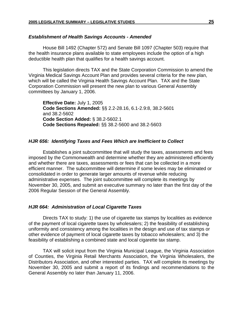#### *Establishment of Health Savings Accounts - Amended*

House Bill 1492 (Chapter 572) and Senate Bill 1097 (Chapter 503) require that the health insurance plans available to state employees include the option of a high deductible health plan that qualifies for a health savings account.

This legislation directs TAX and the State Corporation Commission to amend the Virginia Medical Savings Account Plan and provides several criteria for the new plan, which will be called the Virginia Health Savings Account Plan. TAX and the State Corporation Commission will present the new plan to various General Assembly committees by January 1, 2006.

**Effective Date:** July 1, 2005 **Code Sections Amended:** §§ 2.2-28.16, 6.1-2.9:8, 38.2-5601 and 38.2-5602 **Code Section Added:** § 38.2-5602.1 **Code Sections Repealed:** §§ 38.2-5600 and 38.2-5603

### *HJR 656: Identifying Taxes and Fees Which are Inefficient to Collect*

Establishes a joint subcommittee that will study the taxes, assessments and fees imposed by the Commonwealth and determine whether they are administered efficiently and whether there are taxes, assessments or fees that can be collected in a more efficient manner. The subcommittee will determine if some levies may be eliminated or consolidated in order to generate larger amounts of revenue while reducing administrative expenses. The joint subcommittee will complete its meetings by November 30, 2005, and submit an executive summary no later than the first day of the 2006 Regular Session of the General Assembly.

#### *HJR 664: Administration of Local Cigarette Taxes*

Directs TAX to study: 1) the use of cigarette tax stamps by localities as evidence of the payment of local cigarette taxes by wholesalers; 2) the feasibility of establishing uniformity and consistency among the localities in the design and use of tax stamps or other evidence of payment of local cigarette taxes by tobacco wholesalers; and 3) the feasibility of establishing a combined state and local cigarette tax stamp.

TAX will solicit input from the Virginia Municipal League, the Virginia Association of Counties, the Virginia Retail Merchants Association, the Virginia Wholesalers, the Distributors Association, and other interested parties. TAX will complete its meetings by November 30, 2005 and submit a report of its findings and recommendations to the General Assembly no later than January 11, 2006.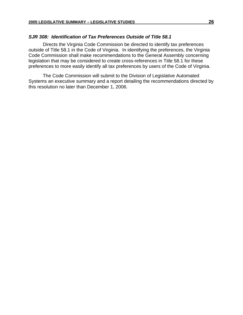## *SJR 308: Identification of Tax Preferences Outside of Title 58.1*

Directs the Virginia Code Commission be directed to identify tax preferences outside of Title 58.1 in the Code of Virginia. In identifying the preferences, the Virginia Code Commission shall make recommendations to the General Assembly concerning legislation that may be considered to create cross-references in Title 58.1 for these preferences to more easily identify all tax preferences by users of the Code of Virginia.

The Code Commission will submit to the Division of Legislative Automated Systems an executive summary and a report detailing the recommendations directed by this resolution no later than December 1, 2006.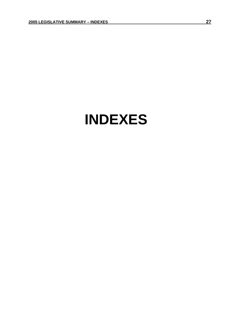## **INDEXES**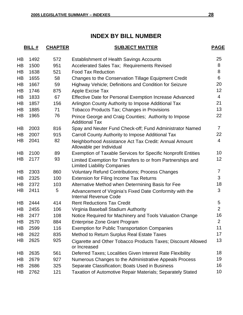## **INDEX BY BILL NUMBER**

## **BILL # CHAPTER SUBJECT MATTER PAGE**

| HB        | 1492 | 572 | <b>Establishment of Health Savings Accounts</b>                                                   | 25             |
|-----------|------|-----|---------------------------------------------------------------------------------------------------|----------------|
| <b>HB</b> | 1500 | 951 | Accelerated Sales Tax; Requirements Revised                                                       | 8              |
| HB        | 1638 | 521 | <b>Food Tax Reduction</b>                                                                         | 8              |
| HB        | 1655 | 58  | Changes to the Conservation Tillage Equipment Credit                                              | 6              |
| <b>HB</b> | 1667 | 59  | Highway Vehicle; Definitions and Condition for Seizure                                            | 20             |
| HB        | 1746 | 875 | Apple Excise Tax                                                                                  | 12             |
| HB        | 1833 | 67  | Effective Date for Personal Exemption Increase Advanced                                           | $\overline{4}$ |
| HB        | 1857 | 156 | Arlington County Authority to Impose Additional Tax                                               | 21             |
| HB        | 1885 | 71  | Tobacco Products Tax; Changes in Provisions                                                       | 13             |
| HВ        | 1965 | 76  | Prince George and Craig Counties; Authority to Impose<br><b>Additional Tax</b>                    | 22             |
| HB        | 2003 | 816 | Spay and Neuter Fund Check-off; Fund Administrator Named                                          | $\overline{7}$ |
| HB        | 2007 | 915 | Carroll County Authority to Impose Additional Tax                                                 | 22             |
| HВ        | 2041 | 82  | Neighborhood Assistance Act Tax Credit: Annual Amount<br>Allowable per Individual                 | $\overline{4}$ |
| HB        | 2100 | 89  | Exemption of Taxable Services for Specific Nonprofit Entities                                     | 10             |
| HB        | 2177 | 93  | Limited Exemption for Transfers to or from Partnerships and<br><b>Limited Liability Companies</b> | 12             |
| HB        | 2303 | 860 | <b>Voluntary Refund Contributions; Process Changes</b>                                            | $\overline{7}$ |
| HB        | 2325 | 100 | <b>Extension for Filing Income Tax Returns</b>                                                    | 3              |
| HB        | 2372 | 103 | Alternative Method when Determining Basis for Fee                                                 | 18             |
| HВ        | 2411 | 5   | Advancement of Virginia's Fixed Date Conformity with the<br><b>Internal Revenue Code</b>          | 3              |
| HB        | 2444 | 414 | <b>Rent Reductions Tax Credit</b>                                                                 | 5              |
| HB        | 2455 | 106 | Virginia Baseball Stadium Authority                                                               | $\overline{2}$ |
| HB        | 2477 | 108 | Notice Required for Machinery and Tools Valuation Change                                          | 16             |
| HB        | 2570 | 884 | <b>Enterprise Zone Grant Program</b>                                                              | $\overline{2}$ |
| HB        | 2599 | 116 | <b>Exemption for Public Transportation Companies</b>                                              | 11             |
| HВ        | 2622 | 835 | Method to Return Surplus Real Estate Taxes                                                        | 17             |
| HВ        | 2625 | 925 | Cigarette and Other Tobacco Products Taxes; Discount Allowed<br>or Increased                      | 13             |
| HВ        | 2635 | 561 | Deferred Taxes; Localities Given Interest Rate Flexibility                                        | 18             |
| HB        | 2679 | 927 | Numerous Changes to the Administrative Appeals Process                                            | 19             |
| HB        | 2686 | 325 | Separate Classification; Boats Used in Business                                                   | 16             |
| HB        | 2762 | 121 | Taxation of Automotive Repair Materials; Separately Stated                                        | 10             |
|           |      |     |                                                                                                   |                |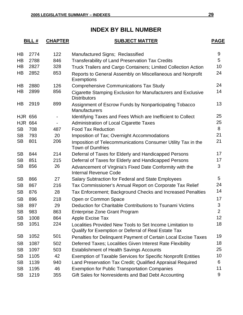## **INDEX BY BILL NUMBER**

## **BILL # CHAPTER SUBJECT MATTER PAGE**

| HВ             | 2774 | 122                      | Manufactured Signs; Reclassified                                                                                  | 9               |
|----------------|------|--------------------------|-------------------------------------------------------------------------------------------------------------------|-----------------|
| HB             | 2788 | 846                      | <b>Transferability of Land Preservation Tax Credits</b>                                                           | $5\phantom{.0}$ |
| HВ             | 2827 | 328                      | Truck Trailers and Cargo Containers; Limited Collection Action                                                    | 10              |
| HВ             | 2852 | 853                      | Reports to General Assembly on Miscellaneous and Nonprofit<br><b>Exemptions</b>                                   | 24              |
| HВ             | 2880 | 126                      | <b>Comprehensive Communications Tax Study</b>                                                                     | 24              |
| HB             | 2899 | 856                      | Cigarette Stamping Exclusion for Manufacturers and Exclusive<br><b>Distributors</b>                               | 14              |
| HВ             | 2919 | 899                      | Assignment of Escrow Funds by Nonparticipating Tobacco<br><b>Manufacturers</b>                                    | 13              |
| <b>HJR 656</b> |      | $\overline{\phantom{a}}$ | Identifying Taxes and Fees Which are Inefficient to Collect                                                       | 25              |
| <b>HJR 664</b> |      |                          | Administration of Local Cigarette Taxes                                                                           | 25              |
| <b>SB</b>      | 708  | 487                      | <b>Food Tax Reduction</b>                                                                                         | 8               |
| <b>SB</b>      | 793  | 20                       | Imposition of Tax; Overnight Accommodations                                                                       | 21              |
| <b>SB</b>      | 801  | 206                      | Imposition of Telecommunications Consumer Utility Tax in the<br><b>Town of Dumfries</b>                           | 21              |
| <b>SB</b>      | 844  | 214                      | Deferral of Taxes for Elderly and Handicapped Persons                                                             | 17              |
| <b>SB</b>      | 851  | 215                      | Deferral of Taxes for Elderly and Handicapped Persons                                                             | 17              |
| <b>SB</b>      | 856  | 26                       | Advancement of Virginia's Fixed Date Conformity with the<br><b>Internal Revenue Code</b>                          | 3               |
| <b>SB</b>      | 866  | 27                       | Salary Subtraction for Federal and State Employees                                                                | 5               |
| <b>SB</b>      | 867  | 216                      | Tax Commissioner's Annual Report on Corporate Tax Relief                                                          | 24              |
| <b>SB</b>      | 876  | 28                       | Tax Enforcement; Background Checks and Increased Penalties                                                        | 14              |
| <b>SB</b>      | 896  | 218                      | Open or Common Space                                                                                              | 17              |
| <b>SB</b>      | 897  | 29                       | Deduction for Charitable Contributions to Tsunami Victims                                                         | 3               |
| <b>SB</b>      | 983  | 863                      | <b>Enterprise Zone Grant Program</b>                                                                              | $\overline{2}$  |
| <b>SB</b>      | 1008 | 864                      | <b>Apple Excise Tax</b>                                                                                           | 12              |
| <b>SB</b>      | 1051 | 224                      | Localities Provided New Tools to Set Income Limitation to<br>Qualify for Exemption or Deferral of Real Estate Tax | 18              |
| <b>SB</b>      | 1052 | 501                      | Penalties for Delinquent Payment of Certain Local Excise Taxes                                                    | 19              |
| <b>SB</b>      | 1087 | 502                      | Deferred Taxes; Localities Given Interest Rate Flexibility                                                        | 18              |
| <b>SB</b>      | 1097 | 503                      | <b>Establishment of Health Savings Accounts</b>                                                                   | 25              |
| <b>SB</b>      | 1105 | 42                       | <b>Exemption of Taxable Services for Specific Nonprofit Entities</b>                                              | 10              |
| <b>SB</b>      | 1139 | 940                      | Land Preservation Tax Credit; Qualified Appraisal Required                                                        | 6               |
| <b>SB</b>      | 1195 | 46                       | <b>Exemption for Public Transportation Companies</b>                                                              | 11              |
| <b>SB</b>      | 1219 | 355                      | Gift Sales for Nonresidents and Bad Debt Accounting                                                               | 9               |
|                |      |                          |                                                                                                                   |                 |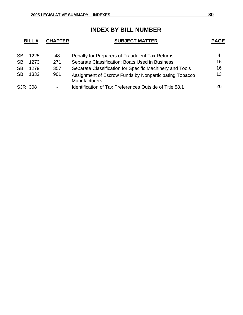## **INDEX BY BILL NUMBER**

## **BILL # CHAPTER SUBJECT MATTER PAGE** SB 1225 48 Penalty for Preparers of Fraudulent Tax Returns 4 SB 1273 271 Separate Classification; Boats Used in Business 16 SB 1279 357 Separate Classification for Specific Machinery and Tools 16 SB 1332 901 Assignment of Escrow Funds by Nonparticipating Tobacco **Manufacturers** 13 SJR 308 - Identification of Tax Preferences Outside of Title 58.1 26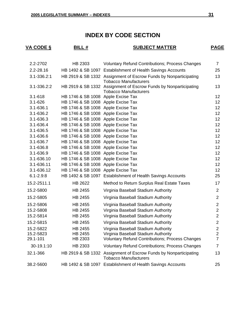| <b>VA CODE §</b> | <b>BILL#</b>                       | <b>SUBJECT MATTER</b>                                                                            | <b>PAGE</b>             |
|------------------|------------------------------------|--------------------------------------------------------------------------------------------------|-------------------------|
| 2.2-2702         | HB 2303                            | <b>Voluntary Refund Contributions; Process Changes</b>                                           | $\overline{7}$          |
| 2.2-28.16        |                                    | HB 1492 & SB 1097 Establishment of Health Savings Accounts                                       | 25                      |
| 3.1-336.2:1      |                                    | HB 2919 & SB 1332 Assignment of Escrow Funds by Nonparticipating<br><b>Tobacco Manufacturers</b> | 13                      |
| 3.1-336.2:2      |                                    | HB 2919 & SB 1332 Assignment of Escrow Funds by Nonparticipating<br><b>Tobacco Manufacturers</b> | 13                      |
| $3.1 - 618$      | HB 1746 & SB 1008 Apple Excise Tax |                                                                                                  | 12                      |
| $3.1 - 626$      | HB 1746 & SB 1008 Apple Excise Tax |                                                                                                  | 12                      |
| $3.1 - 636.1$    | HB 1746 & SB 1008 Apple Excise Tax |                                                                                                  | 12                      |
| 3.1-636.2        | HB 1746 & SB 1008 Apple Excise Tax |                                                                                                  | 12                      |
| 3.1-636.3        | HB 1746 & SB 1008 Apple Excise Tax |                                                                                                  | 12                      |
| 3.1-636.4        | HB 1746 & SB 1008 Apple Excise Tax |                                                                                                  | 12                      |
| 3.1-636.5        | HB 1746 & SB 1008 Apple Excise Tax |                                                                                                  | 12                      |
| 3.1-636.6        | HB 1746 & SB 1008 Apple Excise Tax |                                                                                                  | 12                      |
| $3.1 - 636.7$    | HB 1746 & SB 1008 Apple Excise Tax |                                                                                                  | 12                      |
| 3.1-636.8        | HB 1746 & SB 1008 Apple Excise Tax |                                                                                                  | 12                      |
| 3.1-636.9        | HB 1746 & SB 1008 Apple Excise Tax |                                                                                                  | 12                      |
| 3.1-636.10       | HB 1746 & SB 1008 Apple Excise Tax |                                                                                                  | 12                      |
| 3.1-636.11       | HB 1746 & SB 1008 Apple Excise Tax |                                                                                                  | 12                      |
| 3.1-636.12       | HB 1746 & SB 1008 Apple Excise Tax |                                                                                                  | 12                      |
| $6.1 - 2.9:8$    |                                    | HB 1492 & SB 1097 Establishment of Health Savings Accounts                                       | 25                      |
| 15.2-2511.1      | HB 2622                            | Method to Return Surplus Real Estate Taxes                                                       | 17                      |
| 15.2-5800        | HB 2455                            | Virginia Baseball Stadium Authority                                                              | $\overline{2}$          |
| 15.2-5805        | HB 2455                            | Virginia Baseball Stadium Authority                                                              | $\overline{2}$          |
| 15.2-5806        | HB 2455                            | Virginia Baseball Stadium Authority                                                              | $\overline{2}$          |
| 15.2-5808        | HB 2455                            | Virginia Baseball Stadium Authority                                                              | $\mathbf 2$             |
| 15.2-5814        | HB 2455                            | Virginia Baseball Stadium Authority                                                              | $\overline{2}$          |
| 15.2-5815        | HB 2455                            | Virginia Baseball Stadium Authority                                                              | $\overline{2}$          |
| 15.2-5822        | HB 2455                            | Virginia Baseball Stadium Authority                                                              | $\overline{c}$          |
| 15.2-5823        | HB 2455                            | Virginia Baseball Stadium Authority                                                              | $\overline{\mathbf{c}}$ |
| 29.1-101         | HB 2303                            | <b>Voluntary Refund Contributions; Process Changes</b>                                           | $\overline{7}$          |
| 30-19.1:10       | HB 2303                            | <b>Voluntary Refund Contributions; Process Changes</b>                                           | $\overline{7}$          |
| 32.1-366         |                                    | HB 2919 & SB 1332 Assignment of Escrow Funds by Nonparticipating<br><b>Tobacco Manufacturers</b> | 13                      |
| 38.2-5600        |                                    | HB 1492 & SB 1097 Establishment of Health Savings Accounts                                       | 25                      |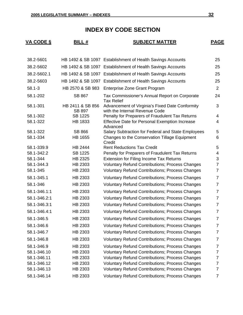| <u>VA CODE §</u> | <b>BILL#</b>                      | <b>SUBJECT MATTER</b>                                                             | <b>PAGE</b>    |
|------------------|-----------------------------------|-----------------------------------------------------------------------------------|----------------|
|                  |                                   |                                                                                   |                |
| 38.2-5601        |                                   | HB 1492 & SB 1097 Establishment of Health Savings Accounts                        | 25             |
| 38.2-5602        |                                   | HB 1492 & SB 1097 Establishment of Health Savings Accounts                        | 25             |
| 38.2-5602.1      |                                   | HB 1492 & SB 1097 Establishment of Health Savings Accounts                        | 25             |
| 38.2-5603        |                                   | HB 1492 & SB 1097 Establishment of Health Savings Accounts                        | 25             |
| $58.1 - 3$       | HB 2570 & SB 983                  | <b>Enterprise Zone Grant Program</b>                                              | $\overline{2}$ |
| 58.1-202         | <b>SB 867</b>                     | Tax Commissioner's Annual Report on Corporate<br><b>Tax Relief</b>                | 24             |
| 58.1-301         | HB 2411 & SB 856<br><b>SB 897</b> | Advancement of Virginia's Fixed Date Conformity<br>with the Internal Revenue Code | 3              |
| 58.1-302         | SB 1225                           | Penalty for Preparers of Fraudulent Tax Returns                                   | 4              |
| 58.1-322         | HB 1833                           | Effective Date for Personal Exemption Increase<br>Advanced                        | 4              |
| 58.1-322         | SB 866                            | Salary Subtraction for Federal and State Employees                                | 5              |
| 58.1-334         | HB 1655                           | Changes to the Conservation Tillage Equipment<br>Credit                           | 6              |
| 58.1-339.9       | <b>HB 2444</b>                    | <b>Rent Reductions Tax Credit</b>                                                 | 5              |
| 58.1-342.2       | SB 1225                           | Penalty for Preparers of Fraudulent Tax Returns                                   | 4              |
| 58.1-344         | HB 2325                           | Extension for Filing Income Tax Returns                                           | 3              |
| 58.1-344.3       | HB 2303                           | <b>Voluntary Refund Contributions; Process Changes</b>                            | $\overline{7}$ |
| 58.1-345         | HB 2303                           | <b>Voluntary Refund Contributions; Process Changes</b>                            | $\overline{7}$ |
| 58.1-345.1       | HB 2303                           | <b>Voluntary Refund Contributions; Process Changes</b>                            | $\overline{7}$ |
| 58.1-346         | HB 2303                           | <b>Voluntary Refund Contributions; Process Changes</b>                            | $\overline{7}$ |
| 58.1-346.1:1     | HB 2303                           | <b>Voluntary Refund Contributions; Process Changes</b>                            | $\overline{7}$ |
| 58.1-346.2:1     | HB 2303                           | <b>Voluntary Refund Contributions; Process Changes</b>                            | $\overline{7}$ |
| 58.1-346.3:1     | HB 2303                           | <b>Voluntary Refund Contributions; Process Changes</b>                            | $\overline{7}$ |
| 58.1-346.4:1     | HB 2303                           | <b>Voluntary Refund Contributions; Process Changes</b>                            | $\overline{7}$ |
| 58.1-346.5       | <b>HB 2303</b>                    | <b>Voluntary Refund Contributions; Process Changes</b>                            | $\overline{7}$ |
| 58.1-346.6       | HB 2303                           | <b>Voluntary Refund Contributions; Process Changes</b>                            | 7              |
| 58.1-346.7       | HB 2303                           | <b>Voluntary Refund Contributions; Process Changes</b>                            | 7              |
| 58.1-346.8       | HB 2303                           | <b>Voluntary Refund Contributions; Process Changes</b>                            | 7              |
| 58.1-346.9       | HB 2303                           | <b>Voluntary Refund Contributions; Process Changes</b>                            | 7              |
| 58.1-346.10      | HB 2303                           | <b>Voluntary Refund Contributions; Process Changes</b>                            | $\overline{7}$ |
| 58.1-346.11      | HB 2303                           | <b>Voluntary Refund Contributions; Process Changes</b>                            | 7              |
| 58.1-346.12      | HB 2303                           | <b>Voluntary Refund Contributions; Process Changes</b>                            | 7              |
| 58.1-346.13      | HB 2303                           | <b>Voluntary Refund Contributions; Process Changes</b>                            | 7              |
| 58.1-346.14      | HB 2303                           | <b>Voluntary Refund Contributions; Process Changes</b>                            | 7              |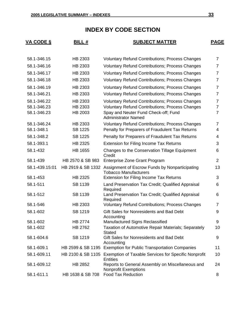| VA CODE §      | <b>BILL#</b>      | <b>SUBJECT MATTER</b>                                                           | <b>PAGE</b>    |
|----------------|-------------------|---------------------------------------------------------------------------------|----------------|
| 58.1-346.15    | HB 2303           | <b>Voluntary Refund Contributions; Process Changes</b>                          | $\overline{7}$ |
| 58.1-346.16    | HB 2303           | <b>Voluntary Refund Contributions; Process Changes</b>                          | $\overline{7}$ |
| 58.1-346.17    | HB 2303           | <b>Voluntary Refund Contributions; Process Changes</b>                          | $\overline{7}$ |
| 58.1-346.18    | HB 2303           | <b>Voluntary Refund Contributions; Process Changes</b>                          | 7              |
| 58.1-346.19    | HB 2303           | <b>Voluntary Refund Contributions; Process Changes</b>                          | 7              |
| 58.1-346.21    | HB 2303           | <b>Voluntary Refund Contributions; Process Changes</b>                          | $\overline{7}$ |
| 58.1-346.22    | HB 2303           | <b>Voluntary Refund Contributions; Process Changes</b>                          | $\overline{7}$ |
| 58.1-346.23    | HB 2303           | <b>Voluntary Refund Contributions; Process Changes</b>                          | $\overline{7}$ |
| 58.1-346.23    | HB 2003           | Spay and Neuter Fund Check-off; Fund<br><b>Administrator Named</b>              | $\overline{7}$ |
| 58.1-346.24    | HB 2303           | <b>Voluntary Refund Contributions; Process Changes</b>                          | 7              |
| 58.1-348.1     | SB 1225           | Penalty for Preparers of Fraudulent Tax Returns                                 | 4              |
| 58.1-348.2     | SB 1225           | Penalty for Preparers of Fraudulent Tax Returns                                 | 4              |
| 58.1-393.1     | HB 2325           | Extension for Filing Income Tax Returns                                         | 3              |
| 58.1-432       | HB 1655           | Changes to the Conservation Tillage Equipment<br>Credit                         | 6              |
| 58.1-439       | HB 2570 & SB 983  | <b>Enterprise Zone Grant Program</b>                                            | $\overline{2}$ |
| 58.1-439.15:01 | HB 2919 & SB 1332 | Assignment of Escrow Funds by Nonparticipating<br><b>Tobacco Manufacturers</b>  | 13             |
| 58.1-453       | HB 2325           | Extension for Filing Income Tax Returns                                         | 3              |
| 58.1-511       | SB 1139           | Land Preservation Tax Credit; Qualified Appraisal<br>Required                   | 6              |
| 58.1-512       | SB 1139           | Land Preservation Tax Credit; Qualified Appraisal<br>Required                   | 6              |
| 58.1-546       | HB 2303           | <b>Voluntary Refund Contributions; Process Changes</b>                          | 7              |
| 58.1-602       | SB 1219           | Gift Sales for Nonresidents and Bad Debt<br>Accounting                          | 9              |
| 58.1-602       | HB 2774           | Manufactured Signs Reclassified                                                 | 9              |
| 58.1-602       | HB 2762           | Taxation of Automotive Repair Materials; Separately<br><b>Stated</b>            | 10             |
| 58.1-604.6     | SB 1219           | Gift Sales for Nonresidents and Bad Debt<br>Accounting                          | 9              |
| 58.1-609.1     | HB 2599 & SB 1195 | <b>Exemption for Public Transportation Companies</b>                            | 11             |
| 58.1-609.11    | HB 2100 & SB 1105 | Exemption of Taxable Services for Specific Nonprofit<br><b>Entities</b>         | 10             |
| 58.1-609.12    | HB 2852           | Reports to General Assembly on Miscellaneous and<br><b>Nonprofit Exemptions</b> | 24             |
| 58.1-611.1     | HB 1638 & SB 708  | <b>Food Tax Reduction</b>                                                       | 8              |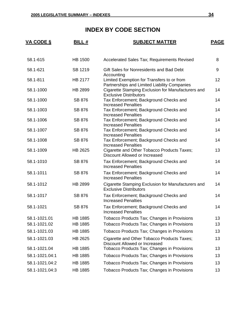| <b>VA CODE §</b> | <b>BILL#</b>   | <b>SUBJECT MATTER</b>                                                                                      | <b>PAGE</b> |
|------------------|----------------|------------------------------------------------------------------------------------------------------------|-------------|
| 58.1-615         | <b>HB 1500</b> | <b>Accelerated Sales Tax; Requirements Revised</b>                                                         | 8           |
| 58.1-621         | SB 1219        | Gift Sales for Nonresidents and Bad Debt                                                                   | 9           |
| 58.1-811         | <b>HB 2177</b> | Accounting<br>Limited Exemption for Transfers to or from                                                   | 12          |
| 58.1-1000        | HB 2899        | Partnerships and Limited Liability Companies<br>Cigarette Stamping Exclusion for Manufacturers and         | 14          |
| 58.1-1000        | <b>SB 876</b>  | <b>Exclusive Distributors</b><br>Tax Enforcement; Background Checks and                                    | 14          |
| 58.1-1003        | <b>SB 876</b>  | <b>Increased Penalties</b><br>Tax Enforcement; Background Checks and                                       | 14          |
| 58.1-1006        | <b>SB 876</b>  | <b>Increased Penalties</b><br>Tax Enforcement; Background Checks and<br><b>Increased Penalties</b>         | 14          |
| 58.1-1007        | <b>SB 876</b>  | Tax Enforcement; Background Checks and                                                                     | 14          |
| 58.1-1008        | <b>SB 876</b>  | <b>Increased Penalties</b><br>Tax Enforcement; Background Checks and                                       | 14          |
| 58.1-1009        | HB 2625        | <b>Increased Penalties</b><br>Cigarette and Other Tobacco Products Taxes;<br>Discount Allowed or Increased | 13          |
| 58.1-1010        | <b>SB 876</b>  | Tax Enforcement; Background Checks and<br><b>Increased Penalties</b>                                       | 14          |
| 58.1-1011        | <b>SB 876</b>  | Tax Enforcement; Background Checks and<br><b>Increased Penalties</b>                                       | 14          |
| 58.1-1012        | HB 2899        | Cigarette Stamping Exclusion for Manufacturers and<br><b>Exclusive Distributors</b>                        | 14          |
| 58.1-1017        | <b>SB 876</b>  | Tax Enforcement; Background Checks and<br><b>Increased Penalties</b>                                       | 14          |
| 58.1-1021        | <b>SB 876</b>  | Tax Enforcement; Background Checks and<br><b>Increased Penalties</b>                                       | 14          |
| 58.1-1021.01     | <b>HB 1885</b> | Tobacco Products Tax; Changes in Provisions                                                                | 13          |
| 58.1-1021.02     | <b>HB 1885</b> | Tobacco Products Tax; Changes in Provisions                                                                | 13          |
| 58.1-1021.03     | <b>HB 1885</b> | Tobacco Products Tax; Changes in Provisions                                                                | 13          |
| 58.1-1021.03     | HB 2625        | Cigarette and Other Tobacco Products Taxes;<br>Discount Allowed or Increased                               | 13          |
| 58.1-1021.04     | HB 1885        | Tobacco Products Tax; Changes in Provisions                                                                | 13          |
| 58.1-1021.04:1   | <b>HB 1885</b> | Tobacco Products Tax; Changes in Provisions                                                                | 13          |
| 58.1-1021.04:2   | HB 1885        | Tobacco Products Tax; Changes in Provisions                                                                | 13          |
| 58.1-1021.04:3   | <b>HB 1885</b> | Tobacco Products Tax; Changes in Provisions                                                                | 13          |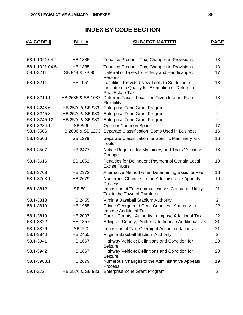#### **VA CODE § BILL # SUBJECT MATTER PAGE** 58.1-1021.04:4 HB 1885 Tobacco Products Tax; Changes in Provisions 13 58.1-1021.04:5 HB 1885 Tobacco Products Tax; Changes in Provisions 13 58.1-3211 SB 844 & SB 851 Deferral of Taxes for Elderly and Handicapped Persons 17 58.1-3211 SB 1051 Localities Provided New Tools to Set Income Limitation to Qualify for Exemption or Deferral of Real Estate Tax 18 58.1-3219.1 HB 2635 & SB 1087 Deferred Taxes; Localities Given Interest Rate Flexibility 18 58.1-3245.6 HB 2570 & SB 983 Enterprise Zone Grant Program 2 58.1-3245.8 HB 2570 & SB 983 Enterprise Zone Grant Program 2 58.1-3245.12 HB 2570 & SB 983 Enterprise Zone Grant Program 2 58.1-3284.1 SB 896 Open or Common Space 17 58.1-3506 HB 2686 & SB 1273 Separate Classification; Boats Used in Business 16 58.1-3506 SB 1279 Separate Classification for Specific Machinery and **Tools** 16 58.1-3507 HB 2477 Notice Required for Machinery and Tools Valuation **Change** 16 58.1-3616 SB 1052 Penalties for Delinquent Payment of Certain Local Excise Taxes 19 58.1-3703 HB 2372 Alternative Method when Determining Basis for Fee 18 58.1-3703.1 HB 2679 Numerous Changes to the Administrative Appeals **Process** 19 58.1-3812 SB 801 Imposition of Telecommunications Consumer Utility Tax in the Town of Dumfries 21 58.1-3818 HB 2455 Virginia Baseball Stadium Authority 2 58.1-3819 HB 1965 Prince George and Craig Counties; Authority to Impose Additional Tax 22 58.1-3819 HB 2007 Carroll County; Authority to Impose Additional Tax 22 58.1-3822 HB 1857 Arlington County; Authority to Impose Additional Tax 21 58.1-3826 SB 793 Imposition of Tax; Overnight Accommodations 21 58.1-3840 HB 2455 Virginia Baseball Stadium Authority 2 58.1-3941 HB 1667 Highway Vehicle; Definitions and Condition for Seizure 20 58.1-3942 HB 1667 Highway Vehicle; Definitions and Condition for Seizure 20 58.1-3983.1 HB 2679 Numerous Changes to the Administrative Appeals **Process** 19 59.1-272 HB 2570 & SB 983 Enterprise Zone Grant Program 2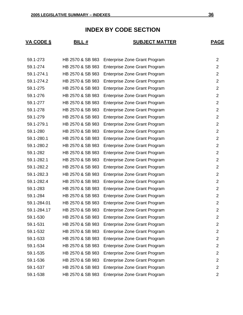| <u>VA CODE §</u> | BILL $#$         | <b>SUBJECT MATTER</b>                | <b>PAGE</b>             |
|------------------|------------------|--------------------------------------|-------------------------|
|                  |                  |                                      |                         |
| 59.1-273         | HB 2570 & SB 983 | Enterprise Zone Grant Program        | $\overline{2}$          |
| 59.1-274         | HB 2570 & SB 983 | Enterprise Zone Grant Program        | $\overline{2}$          |
| 59.1-274.1       | HB 2570 & SB 983 | Enterprise Zone Grant Program        | $\overline{2}$          |
| 59.1-274.2       | HB 2570 & SB 983 | Enterprise Zone Grant Program        | $\overline{2}$          |
| 59.1-275         | HB 2570 & SB 983 | Enterprise Zone Grant Program        | $\overline{2}$          |
| 59.1-276         | HB 2570 & SB 983 | Enterprise Zone Grant Program        | $\overline{2}$          |
| 59.1-277         | HB 2570 & SB 983 | Enterprise Zone Grant Program        | $\overline{2}$          |
| 59.1-278         | HB 2570 & SB 983 | Enterprise Zone Grant Program        | $\overline{2}$          |
| 59.1-279         | HB 2570 & SB 983 | Enterprise Zone Grant Program        | $\overline{2}$          |
| 59.1-279.1       | HB 2570 & SB 983 | Enterprise Zone Grant Program        | $\overline{2}$          |
| 59.1-280         | HB 2570 & SB 983 | Enterprise Zone Grant Program        | $\overline{2}$          |
| 59.1-280.1       | HB 2570 & SB 983 | Enterprise Zone Grant Program        | $\overline{2}$          |
| 59.1-280.2       | HB 2570 & SB 983 | <b>Enterprise Zone Grant Program</b> | $\overline{2}$          |
| 59.1-282         | HB 2570 & SB 983 | Enterprise Zone Grant Program        | $\overline{2}$          |
| 59.1-282.1       | HB 2570 & SB 983 | Enterprise Zone Grant Program        | $\overline{2}$          |
| 59.1-282.2       | HB 2570 & SB 983 | Enterprise Zone Grant Program        | $\overline{2}$          |
| 59.1-282.3       | HB 2570 & SB 983 | Enterprise Zone Grant Program        | $\overline{2}$          |
| 59.1-282.4       | HB 2570 & SB 983 | Enterprise Zone Grant Program        | $\overline{2}$          |
| 59.1-283         | HB 2570 & SB 983 | Enterprise Zone Grant Program        | $\overline{2}$          |
| 59.1-284         | HB 2570 & SB 983 | Enterprise Zone Grant Program        | $\overline{2}$          |
| 59.1-284.01      | HB 2570 & SB 983 | Enterprise Zone Grant Program        | $\overline{2}$          |
| 59.1-284.17      | HB 2570 & SB 983 | Enterprise Zone Grant Program        | $\overline{2}$          |
| 59.1-530         | HB 2570 & SB 983 | <b>Enterprise Zone Grant Program</b> | $\overline{\mathbf{c}}$ |
| 59.1-531         | HB 2570 & SB 983 | Enterprise Zone Grant Program        | 2                       |
| 59.1-532         | HB 2570 & SB 983 | Enterprise Zone Grant Program        | $\overline{2}$          |
| 59.1-533         | HB 2570 & SB 983 | Enterprise Zone Grant Program        | $\overline{2}$          |
| 59.1-534         | HB 2570 & SB 983 | Enterprise Zone Grant Program        | $\overline{2}$          |
| 59.1-535         | HB 2570 & SB 983 | Enterprise Zone Grant Program        | $\overline{2}$          |
| 59.1-536         | HB 2570 & SB 983 | <b>Enterprise Zone Grant Program</b> | $\overline{2}$          |
| 59.1-537         | HB 2570 & SB 983 | Enterprise Zone Grant Program        | $\overline{2}$          |
| 59.1-538         | HB 2570 & SB 983 | <b>Enterprise Zone Grant Program</b> | $\overline{2}$          |